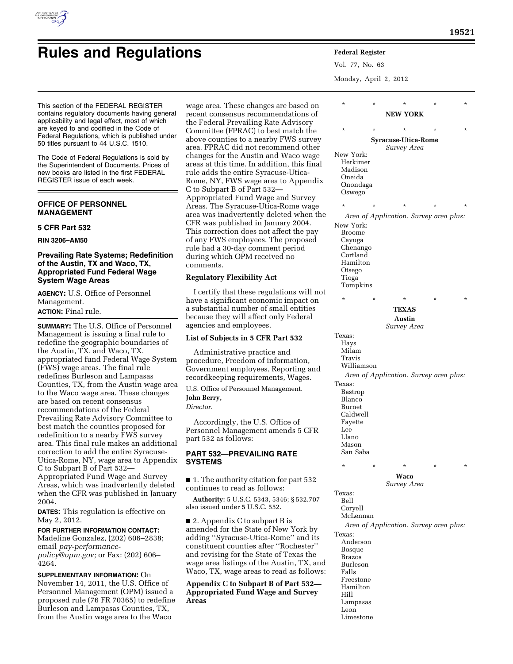

# **Rules and Regulations Federal Register**

Vol. 77, No. 63

Monday, April 2, 2012

| ased on                                            | $\star$                                   | $\star$    |                                        |         | *        |  |  |
|----------------------------------------------------|-------------------------------------------|------------|----------------------------------------|---------|----------|--|--|
| tions of                                           |                                           |            | <b>NEW YORK</b>                        |         |          |  |  |
| visory                                             | $\star$                                   | $\star$    |                                        | ×       | *        |  |  |
| tch the                                            |                                           |            |                                        |         |          |  |  |
| S survey<br>ıd other                               | <b>Syracuse-Utica-Rome</b><br>Survey Area |            |                                        |         |          |  |  |
| co wage                                            | New York:                                 |            |                                        |         |          |  |  |
| his final:                                         | Herkimer                                  |            |                                        |         |          |  |  |
| Jtica-                                             | Madison                                   |            |                                        |         |          |  |  |
| rppendix                                           | Oneida                                    |            |                                        |         |          |  |  |
|                                                    | Onondaga<br>Oswego                        |            |                                        |         |          |  |  |
| Survey                                             |                                           |            |                                        |         |          |  |  |
| ne wage                                            | $\star$                                   | $\star$    | $\star$                                | ×       | $^\star$ |  |  |
| when the                                           |                                           |            | Area of Application. Survey area plus: |         |          |  |  |
| 2004.                                              | New York:                                 |            |                                        |         |          |  |  |
| the pay                                            | Broome                                    |            |                                        |         |          |  |  |
| oposed<br>iod:                                     | Cayuga<br>Chenango                        |            |                                        |         |          |  |  |
| $\lambda$                                          | Cortland                                  |            |                                        |         |          |  |  |
|                                                    | Hamilton                                  |            |                                        |         |          |  |  |
|                                                    | Otsego                                    |            |                                        |         |          |  |  |
|                                                    | Tioga                                     |            |                                        |         |          |  |  |
| s will not                                         | Tompkins                                  |            |                                        |         |          |  |  |
| pact on                                            | $\star$                                   | $^{\star}$ | ×                                      | $\star$ | $^\star$ |  |  |
| ntities                                            |                                           |            | <b>TEXAS</b>                           |         |          |  |  |
| ederal                                             | Austin                                    |            |                                        |         |          |  |  |
|                                                    |                                           |            | Survey Area                            |         |          |  |  |
| 532                                                | Texas:                                    |            |                                        |         |          |  |  |
|                                                    | Hays                                      |            |                                        |         |          |  |  |
|                                                    | Milam<br>Travis                           |            |                                        |         |          |  |  |
| ition,                                             | Williamson                                |            |                                        |         |          |  |  |
| ting and<br>Area of Application. Survey area plus: |                                           |            |                                        |         |          |  |  |
| ages.                                              | Texas:                                    |            |                                        |         |          |  |  |
| ent.                                               | Bastrop                                   |            |                                        |         |          |  |  |
|                                                    | Blanco                                    |            |                                        |         |          |  |  |
|                                                    | Burnet<br>Caldwell                        |            |                                        |         |          |  |  |
| of                                                 | Fayette                                   |            |                                        |         |          |  |  |
| s 5 CFR                                            | Lee                                       |            |                                        |         |          |  |  |
|                                                    | Llano                                     |            |                                        |         |          |  |  |
|                                                    | Mason                                     |            |                                        |         |          |  |  |
| Ε                                                  | San Saba                                  |            |                                        |         |          |  |  |
|                                                    | $\star$                                   | *          | $\ast$                                 | $\ast$  | $\ast$   |  |  |
| art 532                                            |                                           |            | Waco                                   |         |          |  |  |
|                                                    |                                           |            | Survey Area                            |         |          |  |  |
| \$532.707                                          | Texas:                                    |            |                                        |         |          |  |  |
|                                                    | Bell<br>Coryell                           |            |                                        |         |          |  |  |
|                                                    | McLennan                                  |            |                                        |         |          |  |  |
|                                                    |                                           |            | Area of Application. Survey area plus: |         |          |  |  |
| York by                                            | Texas:                                    |            |                                        |         |          |  |  |
| ' and its<br>hester"                               | Anderson                                  |            |                                        |         |          |  |  |
| xas the                                            | Bosque                                    |            |                                        |         |          |  |  |
| ı, TX, and                                         | <b>Brazos</b><br>Burleson                 |            |                                        |         |          |  |  |
| s follows:                                         | Falls                                     |            |                                        |         |          |  |  |
|                                                    | Freestone                                 |            |                                        |         |          |  |  |
| rt 532—                                            | Hamilton                                  |            |                                        |         |          |  |  |
| <b>Survey</b>                                      | Hill                                      |            |                                        |         |          |  |  |
|                                                    | Lampasas<br>Leon                          |            |                                        |         |          |  |  |
|                                                    | Limestone                                 |            |                                        |         |          |  |  |
|                                                    |                                           |            |                                        |         |          |  |  |

This section of the FEDERAL REGISTER contains regulatory documents having general applicability and legal effect, most of which are keyed to and codified in the Code of Federal Regulations, which is published under 50 titles pursuant to 44 U.S.C. 1510.

The Code of Federal Regulations is sold by the Superintendent of Documents. Prices of new books are listed in the first FEDERAL REGISTER issue of each week.

# **OFFICE OF PERSONNEL MANAGEMENT**

# **5 CFR Part 532**

**RIN 3206–AM50** 

## **Prevailing Rate Systems; Redefinition of the Austin, TX and Waco, TX, Appropriated Fund Federal Wage System Wage Areas**

**AGENCY:** U.S. Office of Personnel Management.

## **ACTION:** Final rule.

**SUMMARY:** The U.S. Office of Personnel Management is issuing a final rule to redefine the geographic boundaries of the Austin, TX, and Waco, TX, appropriated fund Federal Wage System (FWS) wage areas. The final rule redefines Burleson and Lampasas Counties, TX, from the Austin wage area to the Waco wage area. These changes are based on recent consensus recommendations of the Federal Prevailing Rate Advisory Committee to best match the counties proposed for redefinition to a nearby FWS survey area. This final rule makes an additional correction to add the entire Syracuse-Utica-Rome, NY, wage area to Appendix C to Subpart B of Part 532— Appropriated Fund Wage and Survey

Areas, which was inadvertently deleted when the CFR was published in January 2004.

**DATES:** This regulation is effective on May 2, 2012.

**FOR FURTHER INFORMATION CONTACT:** 

Madeline Gonzalez, (202) 606–2838; email *[pay-performance](mailto:pay-performance-policy@opm.gov)[policy@opm.gov;](mailto:pay-performance-policy@opm.gov)* or Fax: (202) 606– 4264.

**SUPPLEMENTARY INFORMATION:** On November 14, 2011, the U.S. Office of Personnel Management (OPM) issued a proposed rule (76 FR 70365) to redefine Burleson and Lampasas Counties, TX, from the Austin wage area to the Waco

wage area. These changes are b recent consensus recommendat the Federal Prevailing Rate Adv Committee (FPRAC) to best mat above counties to a nearby FWS area. FPRAC did not recommen changes for the Austin and Wao areas at this time. In addition, the rule adds the entire Syracuse-U Rome, NY, FWS wage area to A C to Subpart B of Part 532— Appropriated Fund Wage and S Areas. The Syracuse-Utica-Rom area was inadvertently deleted CFR was published in January This correction does not affect of any FWS employees. The pro rule had a 30-day comment per during which OPM received no comments.

# **Regulatory Flexibility Act**

I certify that these regulation have a significant economic im a substantial number of small e because they will affect only Fe agencies and employees.

### List of Subjects in 5 CFR Part 5

Administrative practice and procedure, Freedom of informa Government employees, Report recordkeeping requirements, W

U.S. Office of Personnel Manageme **John Berry,**  *Director.* 

Accordingly, the U.S. Office Personnel Management amends part 532 as follows:

**PART 532-PREVAILING RATE SYSTEMS** 

 $\blacksquare$  1. The authority citation for pa continues to read as follows:

**Authority: 5 U.S.C. 5343, 5346; §** also issued under 5 U.S.C. 552.

■ 2. Appendix C to subpart B is amended for the State of New Y adding "Syracuse-Utica-Rome" constituent counties after "Rocl and revising for the State of Texas the State of Texas of Texas wage area listings of the Austin Waco, TX, wage areas to read as

**Appendix C to Subpart B of Pa Appropriated Fund Wage and Areas**